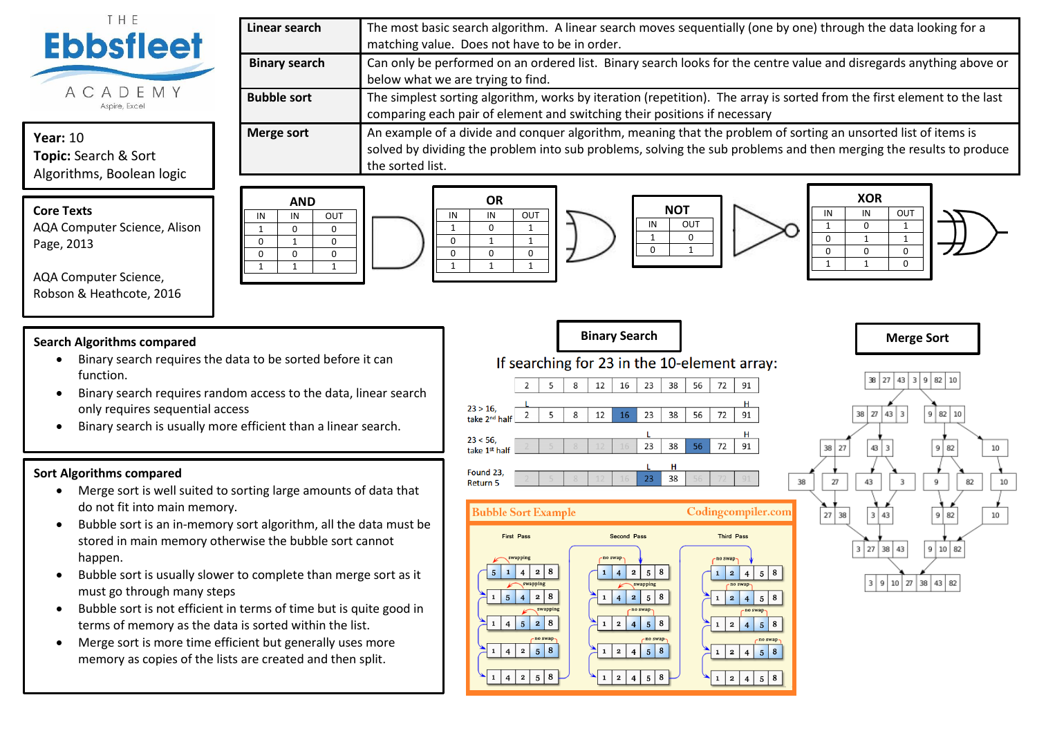

# **Year:** 10 **Topic:** Search & Sort Algorithms, Boolean logic

**Core Texts** AQA Computer Science, Alison Page, 2013

AQA Computer Science, Robson & Heathcote, 2016



**NOT** IN OUT  $1 \quad 0$  $\begin{array}{|c|c|c|c|c|}\n\hline\n0 & 1\n\end{array}$ 

72

72 91

72 91

91

If searching for 23 in the 10-element array:  $\overline{16}$  $\overline{23}$  $\sqrt{38}$ 12 56  $\overline{2}$  $\overline{5}$  $\mathbf{g}$  $23 > 16$  $\overline{2}$  $\overline{5}$ 8 12 16 23 38 56 take 2<sup>nd</sup> half  $23 < 56$ .  $23$ 38 56 take 1st half Found 23,  $23$ 38 Return 5 **Bubble Sort Example** 

IN IN OUT 1 0 1 0 1 1 0 0 0 1 | 1 | 1





IN IN OUT 1 0 1 0 | 1 | 1 0 0 0 1 | 1 | 0

## **Search Algorithms compared**

- Binary search requires the data to be sorted before it can function.
- Binary search requires random access to the data, linear search only requires sequential access

 $\begin{array}{c|c|c|c|c} \hline \text{IN} & \text{IN} & \text{OUT} \ \hline \text{1} & \text{0} & \text{0} \ \hline \end{array}$ 1 0 0  $\begin{array}{c|c|c|c|c} 0 & 1 & 0 \\ \hline 0 & 0 & 0 \end{array}$  $\begin{array}{c|cc} 0 & 0 & 0 \\ \hline 1 & 1 & 1 \end{array}$ 1 | 1 | 1

• Binary search is usually more efficient than a linear search.

## **Sort Algorithms compared**

- Merge sort is well suited to sorting large amounts of data that do not fit into main memory.
- Bubble sort is an in-memory sort algorithm, all the data must be stored in main memory otherwise the bubble sort cannot happen.
- Bubble sort is usually slower to complete than merge sort as it must go through many steps
- Bubble sort is not efficient in terms of time but is quite good in terms of memory as the data is sorted within the list.
- Merge sort is more time efficient but generally uses more memory as copies of the lists are created and then split.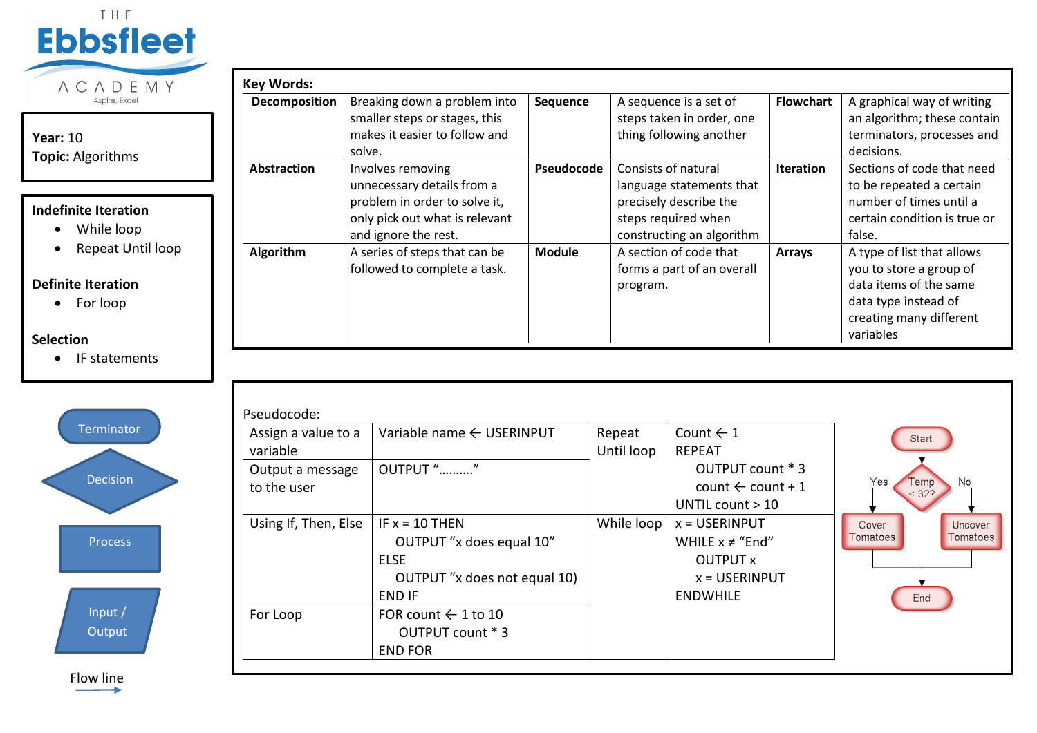

# **Year:** 10 **Topic:** Algorithms

# **Indefinite Iteration**

- While loop
- Repeat Until loop

# **Definite Iteration**

• For loop

# **Selection**

• IF statements



| Decomposition      | Breaking down a problem into   | Sequence      | A sequence is a set of     | <b>Flowchart</b> | A graphical way of writing   |
|--------------------|--------------------------------|---------------|----------------------------|------------------|------------------------------|
|                    | smaller steps or stages, this  |               | steps taken in order, one  |                  | an algorithm; these contain  |
|                    | makes it easier to follow and  |               | thing following another    |                  | terminators, processes and   |
|                    | solve.                         |               |                            |                  | decisions.                   |
| <b>Abstraction</b> | Involves removing              | Pseudocode    | Consists of natural        | <b>Iteration</b> | Sections of code that need   |
|                    | unnecessary details from a     |               | language statements that   |                  | to be repeated a certain     |
|                    | problem in order to solve it,  |               | precisely describe the     |                  | number of times until a      |
|                    | only pick out what is relevant |               | steps required when        |                  | certain condition is true or |
|                    | and ignore the rest.           |               | constructing an algorithm  |                  | false.                       |
| Algorithm          | A series of steps that can be  | <b>Module</b> | A section of code that     | <b>Arrays</b>    | A type of list that allows   |
|                    | followed to complete a task.   |               | forms a part of an overall |                  | you to store a group of      |
|                    |                                |               | program.                   |                  | data items of the same       |
|                    |                                |               |                            |                  | data type instead of         |
|                    |                                |               |                            |                  | creating many different      |
|                    |                                |               |                            |                  | variables                    |

| Assign a value to a<br>variable | Variable name ← USERINPUT                                                                                    | Repeat<br>Until loop | Count $\leftarrow$ 1<br><b>REPEAT</b>                                                     | Start                                           |
|---------------------------------|--------------------------------------------------------------------------------------------------------------|----------------------|-------------------------------------------------------------------------------------------|-------------------------------------------------|
| Output a message<br>to the user | OUTPUT ""                                                                                                    |                      | OUTPUT count * 3<br>count $\leftarrow$ count + 1<br>UNTIL count > 10                      | Yes<br>No<br><b>Temp</b><br>< 32?               |
| Using If, Then, Else            | IF $x = 10$ THEN<br>OUTPUT "x does equal 10"<br><b>ELSE</b><br>OUTPUT "x does not equal 10)<br><b>END IF</b> | While loop           | $x = USERINPUT$<br>WHILE $x \neq$ "End"<br>OUTPUT x<br>$x =$ USERINPUT<br><b>ENDWHILE</b> | Uncover<br>Cover<br>Tomatoes<br>Tomatoes<br>End |
| For Loop                        | FOR count $\leftarrow$ 1 to 10<br>OUTPUT count * 3<br><b>END FOR</b>                                         |                      |                                                                                           |                                                 |

Flow line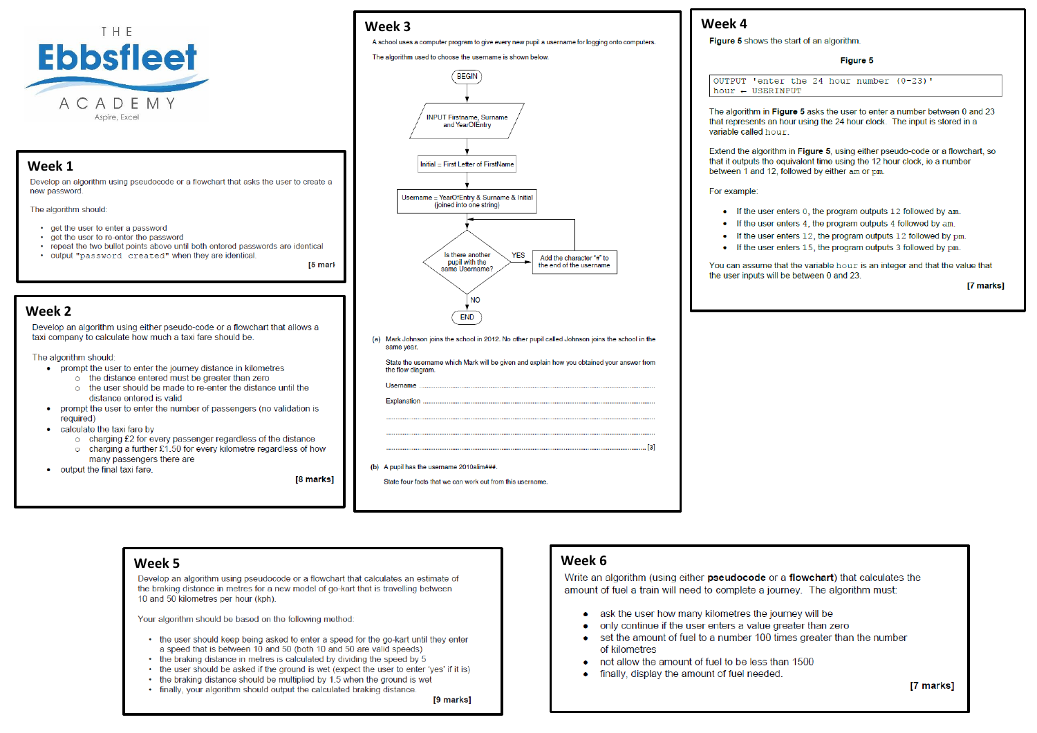

**Week 1**<br>Develop an algorithm using pseudocode or a flowchart that asks the user to create a new password

The algorithm should:

- get the user to enter a password
- . get the user to re-enter the password
- repeat the two bullet points above until both entered passwords are identical

. output "password created" when they are identical.

# **Week 3 Week 4**

A school uses a computer program to give every new pupil a username for logging onto computers.

### The algorithm used to choose the username is shown below.



(a) Mark Johnson joins the school in 2012. No other pupil called Johnson joins the school in the same year.

State the username which Mark will be given and explain how you obtained your answer from the flow diagram Username Explanation

(b) A pupil has the username 2010alim###.

State four facts that we can work out from this username

### Figure 5

OUTPUT 'enter the 24 hour number  $(0-23)$ ' hour  $\leftarrow$  USERINPUT

The algorithm in Figure 5 asks the user to enter a number between 0 and 23 that represents an hour using the 24 hour clock. The input is stored in a variable called hour.

Extend the algorithm in Figure 5, using either pseudo-code or a flowchart, so that it outputs the equivalent time using the 12 hour clock, ie a number between 1 and 12, followed by either am or pm.

For example:

- $\bullet$  If the user enters 0, the program outputs 12 followed by am.
- $\bullet$  If the user enters 4, the program outputs 4 followed by am.
- If the user enters 12, the program outputs 12 followed by pm.
- If the user enters 15, the program outputs 3 followed by pm.

You can assume that the variable hour is an integer and that the value that the user inputs will be between 0 and 23.

**[7 marks]** 

## **Week 2**

Develop an algorithm using either pseudo-code or a flowchart that allows a taxi company to calculate how much a taxi fare should be

The algorithm should

- prompt the user to enter the journey distance in kilometres
	- o the distance entered must be greater than zero o the user should be made to re-enter the distance until the
	- distance entered is valid
- prompt the user to enter the number of passengers (no validation is required)
- calculate the taxi fare by
	- o charging £2 for every passenger regardless of the distance
	- o charging a further £1.50 for every kilometre regardless of how many passengers there are
- output the final taxi fare.

**18 marks1** 

[5 mark

Develop an algorithm using pseudocode or a flowchart that calculates an estimate of the braking distance in metres for a new model of go-kart that is travelling between 10 and 50 kilometres per hour (kph).

Your algorithm should be based on the following method:

- the user should keep being asked to enter a speed for the go-kart until they enter a speed that is between 10 and 50 (both 10 and 50 are valid speeds)
- the braking distance in metres is calculated by dividing the speed by 5
- the user should be asked if the ground is wet (expect the user to enter 'yes' if it is)
- the braking distance should be multiplied by 1.5 when the ground is wet
- finally, your algorithm should output the calculated braking distance.

[9 marks]

# **Week 5 Week 6**

amount of fuel a train will need to complete a journey. The algorithm must:

- ask the user how many kilometres the journey will be
- only continue if the user enters a value greater than zero
- set the amount of fuel to a number 100 times greater than the number of kilometres
- not allow the amount of fuel to be less than 1500
- finally, display the amount of fuel needed

 $[3]$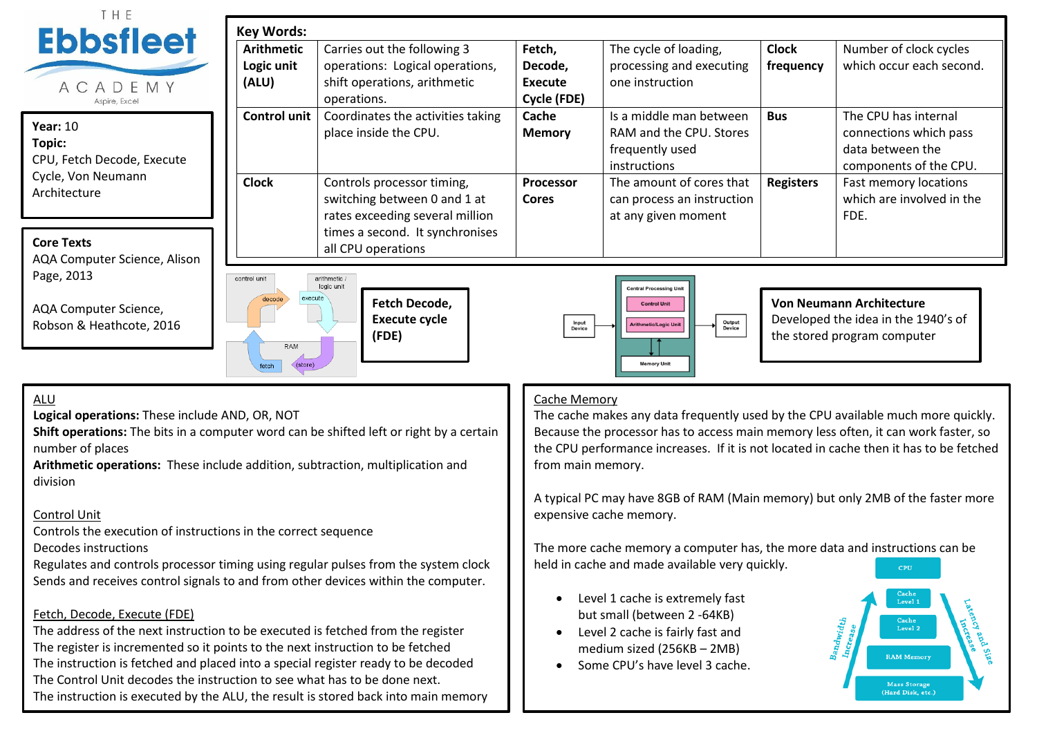| THE                                                             | <b>Key Words:</b>                                                                                             |                                                                                                               |                                             |                                                                                                                                      |                           |                                                                                                       |
|-----------------------------------------------------------------|---------------------------------------------------------------------------------------------------------------|---------------------------------------------------------------------------------------------------------------|---------------------------------------------|--------------------------------------------------------------------------------------------------------------------------------------|---------------------------|-------------------------------------------------------------------------------------------------------|
| <b>Ebbsfleet</b><br>ACADEMY<br>Aspire, Excel                    | <b>Arithmetic</b><br>Logic unit<br>(ALU)                                                                      | Carries out the following 3<br>operations: Logical operations,<br>shift operations, arithmetic<br>operations. | Fetch,<br>Decode,<br>Execute<br>Cycle (FDE) | The cycle of loading,<br>processing and executing<br>one instruction                                                                 | <b>Clock</b><br>frequency | Number of clock cycles<br>which occur each second.                                                    |
| <b>Year: 10</b><br>Topic:<br>CPU, Fetch Decode, Execute         | <b>Control unit</b>                                                                                           | Coordinates the activities taking<br>place inside the CPU.                                                    |                                             | Is a middle man between<br>RAM and the CPU. Stores<br>frequently used<br>instructions                                                | <b>Bus</b>                | The CPU has internal<br>connections which pass<br>data between the<br>components of the CPU.          |
| Cycle, Von Neumann<br>Architecture                              | <b>Clock</b><br>Controls processor timing,<br>switching between 0 and 1 at<br>rates exceeding several million |                                                                                                               | <b>Processor</b><br><b>Cores</b>            | The amount of cores that<br>can process an instruction<br>at any given moment                                                        | <b>Registers</b>          | Fast memory locations<br>which are involved in the<br>FDE.                                            |
| <b>Core Texts</b><br>AQA Computer Science, Alison               |                                                                                                               | times a second. It synchronises<br>all CPU operations                                                         |                                             |                                                                                                                                      |                           |                                                                                                       |
| Page, 2013<br>AQA Computer Science,<br>Robson & Heathcote, 2016 | control unit<br>execute<br>RAM<br>(store)<br>fetch                                                            | arithmetic /<br>logic unit<br>Fetch Decode,<br><b>Execute cycle</b><br>(FDE)                                  | <b>Input</b><br>Device                      | <b>Central Processing Un</b><br><b>Control Unit</b><br><b>Output</b><br>Device<br><b>Arithmetic/Logic Unit</b><br><b>Memory Unit</b> |                           | <b>Von Neumann Architecture</b><br>Developed the idea in the 1940's of<br>the stored program computer |
| $\lambda$                                                       |                                                                                                               |                                                                                                               | $C2$ ho Momoru                              |                                                                                                                                      |                           |                                                                                                       |

# ALU

**Logical operations:** These include AND, OR, NOT

**Shift operations:** The bits in a computer word can be shifted left or right by a certain number of places

**Arithmetic operations:** These include addition, subtraction, multiplication and division

# Control Unit

Controls the execution of instructions in the correct sequence

Decodes instructions

Regulates and controls processor timing using regular pulses from the system clock Sends and receives control signals to and from other devices within the computer.

# Fetch, Decode, Execute (FDE)

The address of the next instruction to be executed is fetched from the register The register is incremented so it points to the next instruction to be fetched The instruction is fetched and placed into a special register ready to be decoded The Control Unit decodes the instruction to see what has to be done next. The instruction is executed by the ALU, the result is stored back into main memory

## Cache Memory

The cache makes any data frequently used by the CPU available much more quickly. Because the processor has to access main memory less often, it can work faster, so the CPU performance increases. If it is not located in cache then it has to be fetched from main memory.

A typical PC may have 8GB of RAM (Main memory) but only 2MB of the faster more expensive cache memory.

The more cache memory a computer has, the more data and instructions can be held in cache and made available very quickly.

- Level 1 cache is extremely fast but small (between 2 -64KB)
- Level 2 cache is fairly fast and medium sized (256KB – 2MB)
- Some CPU's have level 3 cache.

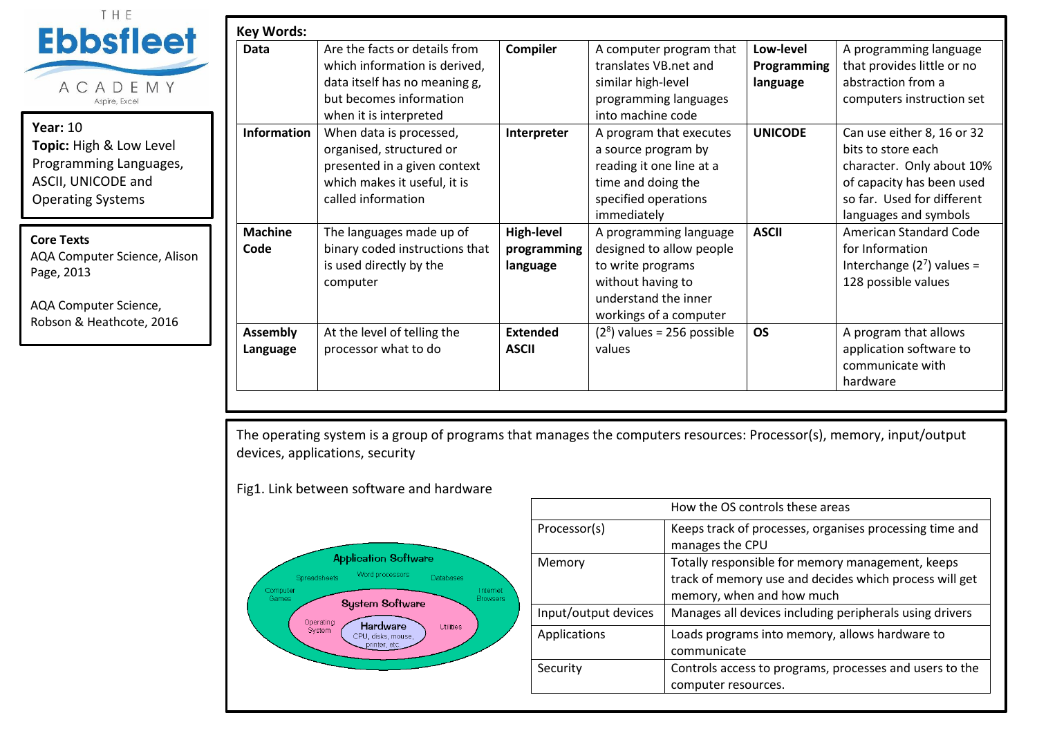| THE                          |                    |                                |                 |                              |                |                               |
|------------------------------|--------------------|--------------------------------|-----------------|------------------------------|----------------|-------------------------------|
| <b>Ebbsfleet</b>             | <b>Key Words:</b>  |                                |                 |                              |                |                               |
|                              | Data               | Are the facts or details from  | <b>Compiler</b> | A computer program that      | Low-level      | A programming language        |
|                              |                    | which information is derived,  |                 | translates VB.net and        | Programming    | that provides little or no    |
| ACADEMY                      |                    | data itself has no meaning g,  |                 | similar high-level           | language       | abstraction from a            |
| Aspire, Excel                |                    | but becomes information        |                 | programming languages        |                | computers instruction set     |
|                              |                    | when it is interpreted         |                 | into machine code            |                |                               |
| <b>Year: 10</b>              | <b>Information</b> | When data is processed,        | Interpreter     | A program that executes      | <b>UNICODE</b> | Can use either 8, 16 or 32    |
| Topic: High & Low Level      |                    | organised, structured or       |                 | a source program by          |                | bits to store each            |
| Programming Languages,       |                    | presented in a given context   |                 | reading it one line at a     |                | character. Only about 10%     |
| ASCII, UNICODE and           |                    | which makes it useful, it is   |                 | time and doing the           |                | of capacity has been used     |
| <b>Operating Systems</b>     |                    | called information             |                 | specified operations         |                | so far. Used for different    |
|                              |                    |                                |                 | immediately                  |                | languages and symbols         |
| <b>Core Texts</b>            | <b>Machine</b>     | The languages made up of       | High-level      | A programming language       | <b>ASCII</b>   | <b>American Standard Code</b> |
| AQA Computer Science, Alison | Code               | binary coded instructions that | programming     | designed to allow people     |                | for Information               |
| Page, 2013                   |                    | is used directly by the        | language        | to write programs            |                | Interchange $(2^7)$ values =  |
|                              |                    | computer                       |                 | without having to            |                | 128 possible values           |
| AQA Computer Science,        |                    |                                |                 | understand the inner         |                |                               |
| Robson & Heathcote, 2016     |                    |                                |                 | workings of a computer       |                |                               |
|                              | <b>Assembly</b>    | At the level of telling the    | <b>Extended</b> | $(28)$ values = 256 possible | <b>OS</b>      | A program that allows         |
|                              | Language           | processor what to do           | <b>ASCII</b>    | values                       |                | application software to       |
|                              |                    |                                |                 |                              |                | communicate with              |
|                              |                    |                                |                 |                              |                | hardware                      |

The operating system is a group of programs that manages the computers resources: Processor(s), memory, input/output devices, applications, security

Fig1. Link between software and hardware



|                      | How the OS controls these areas                                                                                                         |
|----------------------|-----------------------------------------------------------------------------------------------------------------------------------------|
| Processor(s)         | Keeps track of processes, organises processing time and<br>manages the CPU                                                              |
| Memory               | Totally responsible for memory management, keeps<br>track of memory use and decides which process will get<br>memory, when and how much |
| Input/output devices | Manages all devices including peripherals using drivers                                                                                 |
| Applications         | Loads programs into memory, allows hardware to<br>communicate                                                                           |
| Security             | Controls access to programs, processes and users to the<br>computer resources.                                                          |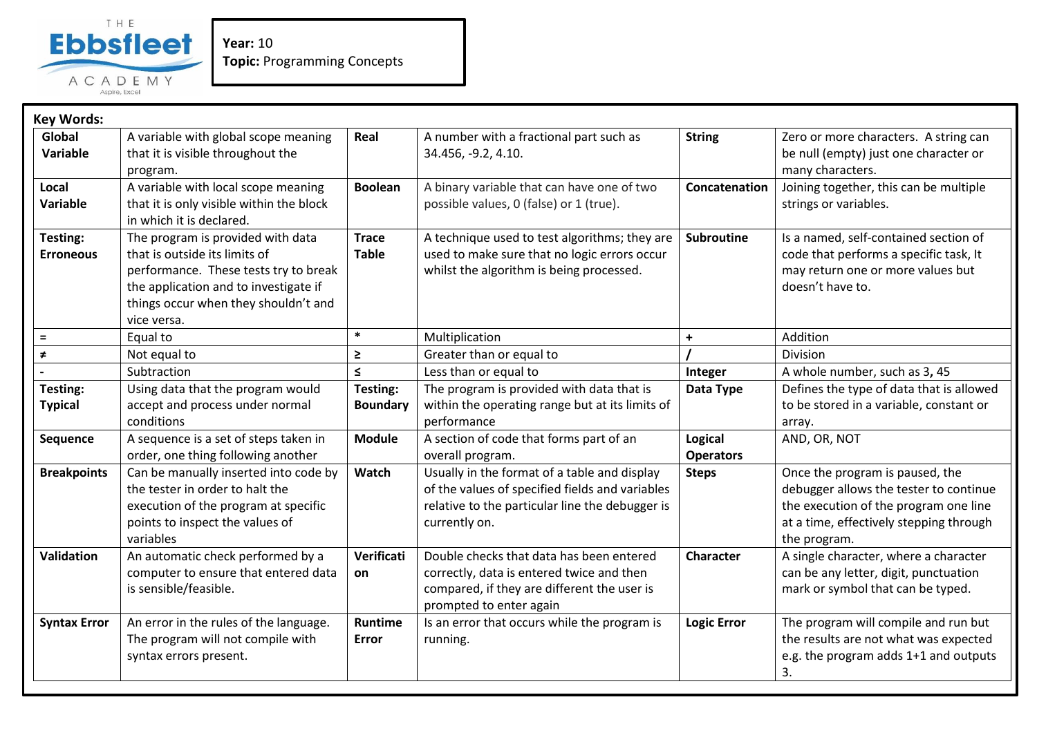

**Year:** 10 **Topic:** Programming Concepts

| <b>Key Words:</b>            |                                                                                                                                                                                                             |                              |                                                                                                                                                                     |                             |                                                                                                                                                                               |
|------------------------------|-------------------------------------------------------------------------------------------------------------------------------------------------------------------------------------------------------------|------------------------------|---------------------------------------------------------------------------------------------------------------------------------------------------------------------|-----------------------------|-------------------------------------------------------------------------------------------------------------------------------------------------------------------------------|
| Global<br>Variable           | A variable with global scope meaning<br>that it is visible throughout the<br>program.                                                                                                                       | Real                         | A number with a fractional part such as<br>34.456, -9.2, 4.10.                                                                                                      | <b>String</b>               | Zero or more characters. A string can<br>be null (empty) just one character or<br>many characters.                                                                            |
| Local<br>Variable            | A variable with local scope meaning<br>that it is only visible within the block<br>in which it is declared.                                                                                                 | <b>Boolean</b>               | A binary variable that can have one of two<br>possible values, 0 (false) or 1 (true).                                                                               | Concatenation               | Joining together, this can be multiple<br>strings or variables.                                                                                                               |
| Testing:<br><b>Erroneous</b> | The program is provided with data<br>that is outside its limits of<br>performance. These tests try to break<br>the application and to investigate if<br>things occur when they shouldn't and<br>vice versa. | <b>Trace</b><br><b>Table</b> | A technique used to test algorithms; they are<br>used to make sure that no logic errors occur<br>whilst the algorithm is being processed.                           | Subroutine                  | Is a named, self-contained section of<br>code that performs a specific task, It<br>may return one or more values but<br>doesn't have to.                                      |
| $\equiv$                     | Equal to                                                                                                                                                                                                    | $\ast$                       | Multiplication                                                                                                                                                      | $\ddot{}$                   | Addition                                                                                                                                                                      |
| $\neq$                       | Not equal to                                                                                                                                                                                                | $\geq$                       | Greater than or equal to                                                                                                                                            |                             | Division                                                                                                                                                                      |
|                              | Subtraction                                                                                                                                                                                                 | $\leq$                       | Less than or equal to                                                                                                                                               | Integer                     | A whole number, such as 3, 45                                                                                                                                                 |
| Testing:<br><b>Typical</b>   | Using data that the program would<br>accept and process under normal<br>conditions                                                                                                                          | Testing:<br><b>Boundary</b>  | The program is provided with data that is<br>within the operating range but at its limits of<br>performance                                                         | Data Type                   | Defines the type of data that is allowed<br>to be stored in a variable, constant or<br>array.                                                                                 |
| Sequence                     | A sequence is a set of steps taken in<br>order, one thing following another                                                                                                                                 | <b>Module</b>                | A section of code that forms part of an<br>overall program.                                                                                                         | Logical<br><b>Operators</b> | AND, OR, NOT                                                                                                                                                                  |
| <b>Breakpoints</b>           | Can be manually inserted into code by<br>the tester in order to halt the<br>execution of the program at specific<br>points to inspect the values of<br>variables                                            | Watch                        | Usually in the format of a table and display<br>of the values of specified fields and variables<br>relative to the particular line the debugger is<br>currently on. | <b>Steps</b>                | Once the program is paused, the<br>debugger allows the tester to continue<br>the execution of the program one line<br>at a time, effectively stepping through<br>the program. |
| Validation                   | An automatic check performed by a<br>computer to ensure that entered data<br>is sensible/feasible.                                                                                                          | Verificati<br>on             | Double checks that data has been entered<br>correctly, data is entered twice and then<br>compared, if they are different the user is<br>prompted to enter again     | Character                   | A single character, where a character<br>can be any letter, digit, punctuation<br>mark or symbol that can be typed.                                                           |
| <b>Syntax Error</b>          | An error in the rules of the language.<br>The program will not compile with<br>syntax errors present.                                                                                                       | Runtime<br><b>Error</b>      | Is an error that occurs while the program is<br>running.                                                                                                            | <b>Logic Error</b>          | The program will compile and run but<br>the results are not what was expected<br>e.g. the program adds 1+1 and outputs<br>3.                                                  |